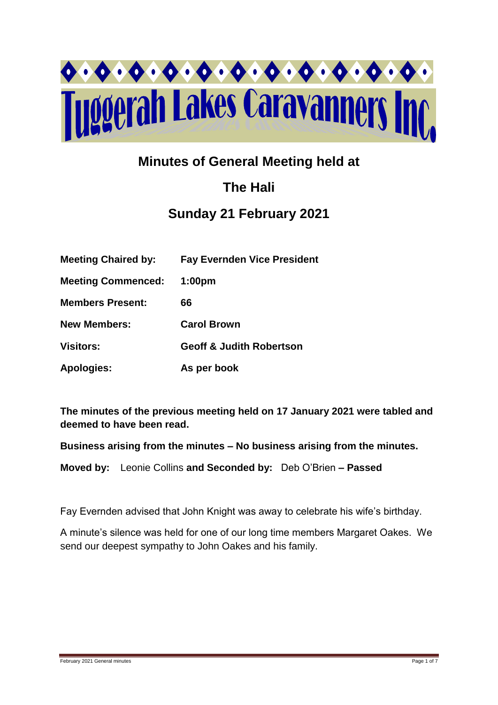

# **Minutes of General Meeting held at**

# **The Hali**

## **Sunday 21 February 2021**

| <b>Meeting Chaired by:</b> | <b>Fay Evernden Vice President</b>  |
|----------------------------|-------------------------------------|
| <b>Meeting Commenced:</b>  | 1:00 <sub>pm</sub>                  |
| <b>Members Present:</b>    | 66                                  |
| <b>New Members:</b>        | <b>Carol Brown</b>                  |
| <b>Visitors:</b>           | <b>Geoff &amp; Judith Robertson</b> |
| <b>Apologies:</b>          | As per book                         |

**The minutes of the previous meeting held on 17 January 2021 were tabled and deemed to have been read.**

**Business arising from the minutes – No business arising from the minutes.**

**Moved by:** Leonie Collins **and Seconded by:** Deb O'Brien **– Passed** 

Fay Evernden advised that John Knight was away to celebrate his wife's birthday.

A minute's silence was held for one of our long time members Margaret Oakes. We send our deepest sympathy to John Oakes and his family.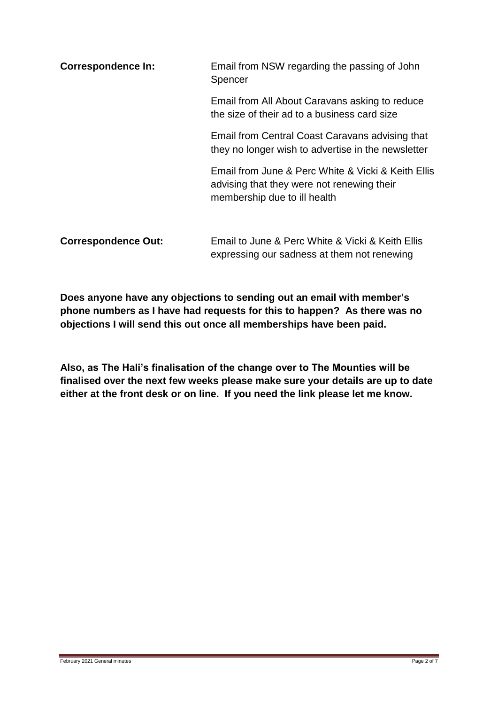| <b>Correspondence In:</b>  | Email from NSW regarding the passing of John<br>Spencer                                                                          |  |
|----------------------------|----------------------------------------------------------------------------------------------------------------------------------|--|
|                            | Email from All About Caravans asking to reduce<br>the size of their ad to a business card size                                   |  |
|                            | Email from Central Coast Caravans advising that<br>they no longer wish to advertise in the newsletter                            |  |
|                            | Email from June & Perc White & Vicki & Keith Ellis<br>advising that they were not renewing their<br>membership due to ill health |  |
| <b>Correspondence Out:</b> | Email to June & Perc White & Vicki & Keith Ellis<br>expressing our sadness at them not renewing                                  |  |

**Does anyone have any objections to sending out an email with member's phone numbers as I have had requests for this to happen? As there was no objections I will send this out once all memberships have been paid.** 

**Also, as The Hali's finalisation of the change over to The Mounties will be finalised over the next few weeks please make sure your details are up to date either at the front desk or on line. If you need the link please let me know.**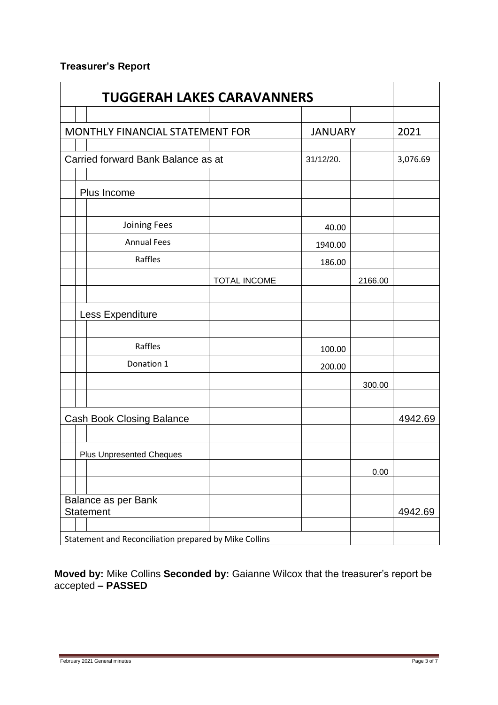## **Treasurer's Report**

| <b>TUGGERAH LAKES CARAVANNERS</b>                     |              |                |         |          |
|-------------------------------------------------------|--------------|----------------|---------|----------|
|                                                       |              |                |         |          |
| MONTHLY FINANCIAL STATEMENT FOR                       |              | <b>JANUARY</b> |         | 2021     |
|                                                       |              |                |         |          |
| Carried forward Bank Balance as at                    |              | 31/12/20.      |         | 3,076.69 |
|                                                       |              |                |         |          |
| Plus Income                                           |              |                |         |          |
|                                                       |              |                |         |          |
| Joining Fees                                          |              | 40.00          |         |          |
| <b>Annual Fees</b>                                    |              | 1940.00        |         |          |
| Raffles                                               |              | 186.00         |         |          |
|                                                       | TOTAL INCOME |                | 2166.00 |          |
|                                                       |              |                |         |          |
| Less Expenditure                                      |              |                |         |          |
|                                                       |              |                |         |          |
| Raffles                                               |              | 100.00         |         |          |
| Donation 1                                            |              | 200.00         |         |          |
|                                                       |              |                | 300.00  |          |
|                                                       |              |                |         |          |
| <b>Cash Book Closing Balance</b>                      |              |                |         | 4942.69  |
|                                                       |              |                |         |          |
| <b>Plus Unpresented Cheques</b>                       |              |                |         |          |
|                                                       |              |                | 0.00    |          |
|                                                       |              |                |         |          |
| Balance as per Bank                                   |              |                |         |          |
| <b>Statement</b>                                      |              |                |         | 4942.69  |
| Statement and Reconciliation prepared by Mike Collins |              |                |         |          |

**Moved by:** Mike Collins **Seconded by:** Gaianne Wilcox that the treasurer's report be accepted **– PASSED**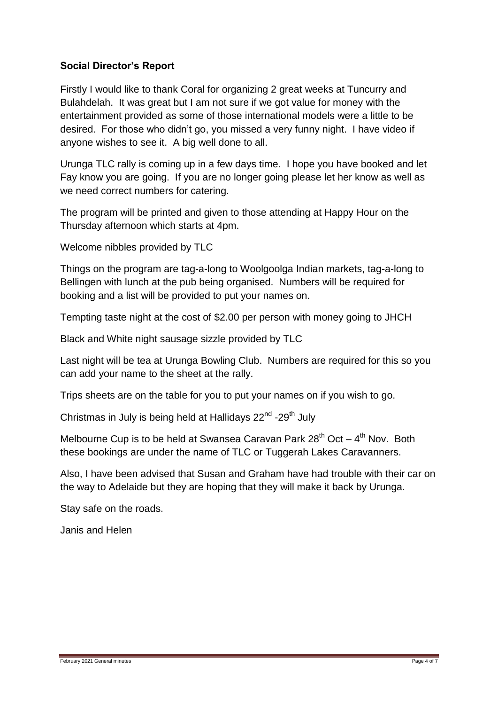## **Social Director's Report**

Firstly I would like to thank Coral for organizing 2 great weeks at Tuncurry and Bulahdelah. It was great but I am not sure if we got value for money with the entertainment provided as some of those international models were a little to be desired. For those who didn't go, you missed a very funny night. I have video if anyone wishes to see it. A big well done to all.

Urunga TLC rally is coming up in a few days time. I hope you have booked and let Fay know you are going. If you are no longer going please let her know as well as we need correct numbers for catering.

The program will be printed and given to those attending at Happy Hour on the Thursday afternoon which starts at 4pm.

Welcome nibbles provided by TLC

Things on the program are tag-a-long to Woolgoolga Indian markets, tag-a-long to Bellingen with lunch at the pub being organised. Numbers will be required for booking and a list will be provided to put your names on.

Tempting taste night at the cost of \$2.00 per person with money going to JHCH

Black and White night sausage sizzle provided by TLC

Last night will be tea at Urunga Bowling Club. Numbers are required for this so you can add your name to the sheet at the rally.

Trips sheets are on the table for you to put your names on if you wish to go.

Christmas in July is being held at Hallidays 22<sup>nd</sup> -29<sup>th</sup> July

Melbourne Cup is to be held at Swansea Caravan Park  $28^{th}$  Oct  $-4^{th}$  Nov. Both these bookings are under the name of TLC or Tuggerah Lakes Caravanners.

Also, I have been advised that Susan and Graham have had trouble with their car on the way to Adelaide but they are hoping that they will make it back by Urunga.

Stay safe on the roads.

Janis and Helen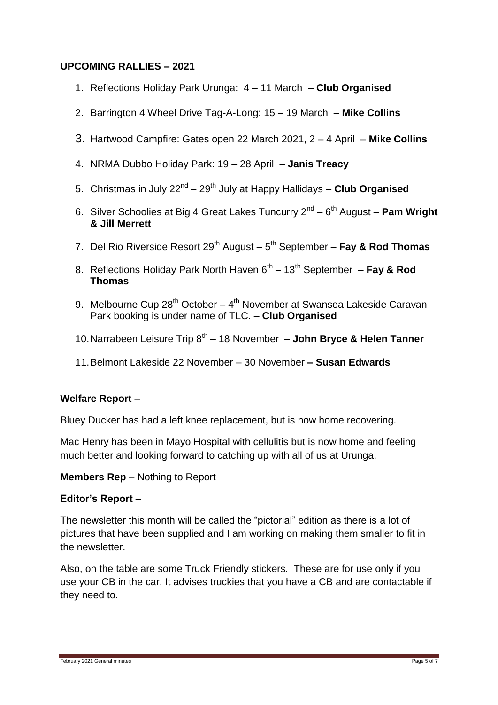## **UPCOMING RALLIES – 2021**

- 1. Reflections Holiday Park Urunga: 4 11 March **Club Organised**
- 2. Barrington 4 Wheel Drive Tag-A-Long: 15 19 March **Mike Collins**
- 3. Hartwood Campfire: Gates open 22 March 2021, 2 4 April **Mike Collins**
- 4. NRMA Dubbo Holiday Park: 19 28 April **Janis Treacy**
- 5. Christmas in July 22<sup>nd</sup> 29<sup>th</sup> July at Happy Hallidays Club Organised
- 6. Silver Schoolies at Big 4 Great Lakes Tuncurry 2nd 6 th August **Pam Wright & Jill Merrett**
- 7. Del Rio Riverside Resort 29<sup>th</sup> August 5<sup>th</sup> September  **Fay & Rod Thomas**
- 8. Reflections Holiday Park North Haven 6<sup>th</sup> 13<sup>th</sup> September **Fay & Rod Thomas**
- 9. Melbourne Cup 28<sup>th</sup> October 4<sup>th</sup> November at Swansea Lakeside Caravan Park booking is under name of TLC. – **Club Organised**
- 10. Narrabeen Leisure Trip 8<sup>th</sup> 18 November **John Bryce & Helen Tanner**
- 11.Belmont Lakeside 22 November 30 November **– Susan Edwards**

### **Welfare Report –**

Bluey Ducker has had a left knee replacement, but is now home recovering.

Mac Henry has been in Mayo Hospital with cellulitis but is now home and feeling much better and looking forward to catching up with all of us at Urunga.

#### **Members Rep –** Nothing to Report

### **Editor's Report –**

The newsletter this month will be called the "pictorial" edition as there is a lot of pictures that have been supplied and I am working on making them smaller to fit in the newsletter.

Also, on the table are some Truck Friendly stickers. These are for use only if you use your CB in the car. It advises truckies that you have a CB and are contactable if they need to.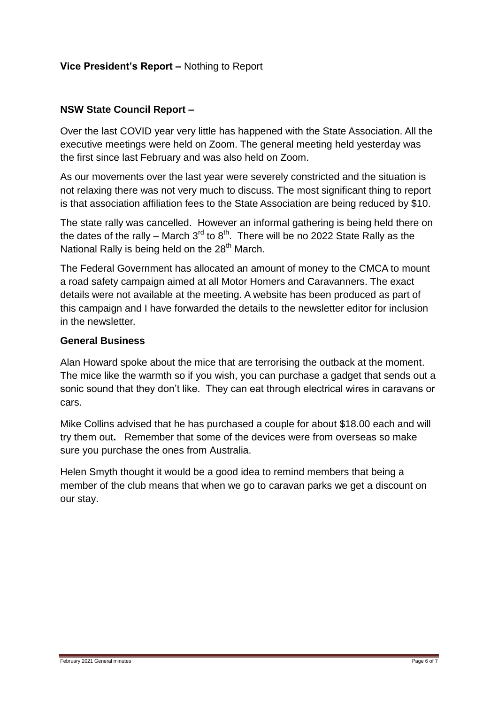## **Vice President's Report –** Nothing to Report

## **NSW State Council Report –**

Over the last COVID year very little has happened with the State Association. All the executive meetings were held on Zoom. The general meeting held yesterday was the first since last February and was also held on Zoom.

As our movements over the last year were severely constricted and the situation is not relaxing there was not very much to discuss. The most significant thing to report is that association affiliation fees to the State Association are being reduced by \$10.

The state rally was cancelled. However an informal gathering is being held there on the dates of the rally – March  $3^{\text{rd}}$  to  $8^{\text{th}}$ . There will be no 2022 State Rally as the National Rally is being held on the  $28<sup>th</sup>$  March.

The Federal Government has allocated an amount of money to the CMCA to mount a road safety campaign aimed at all Motor Homers and Caravanners. The exact details were not available at the meeting. A website has been produced as part of this campaign and I have forwarded the details to the newsletter editor for inclusion in the newsletter.

### **General Business**

Alan Howard spoke about the mice that are terrorising the outback at the moment. The mice like the warmth so if you wish, you can purchase a gadget that sends out a sonic sound that they don't like. They can eat through electrical wires in caravans or cars.

Mike Collins advised that he has purchased a couple for about \$18.00 each and will try them out**.** Remember that some of the devices were from overseas so make sure you purchase the ones from Australia.

Helen Smyth thought it would be a good idea to remind members that being a member of the club means that when we go to caravan parks we get a discount on our stay.